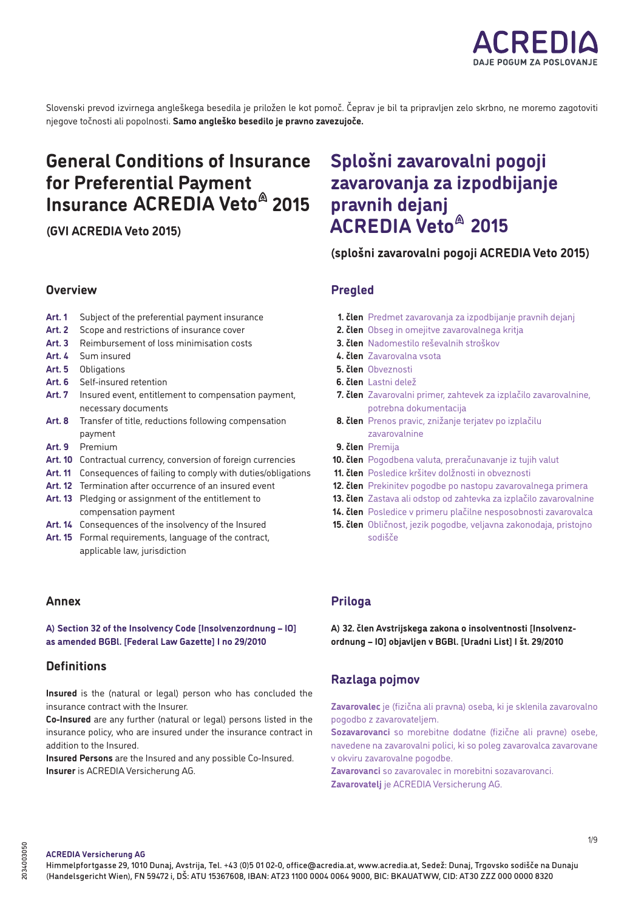

Slovenski prevod izvirnega angleškega besedila je priložen le kot pomoč. Čeprav je bil ta pripravljen zelo skrbno, ne moremo zagotoviti njegove točnosti ali popolnosti. **Samo angleško besedilo je pravno zavezujoče.**

# **General Conditions of Insurance for Preferential Payment Insurance ACREDIA Veto<sup>@</sup> 2015**

**(GVI ACREDIA Veto 2015)**

# **Overview**

- **Art. 1** Subject of the preferential payment insurance
- Art. 2 Scope and restrictions of insurance cover
- Art. 3 Reimbursement of loss minimisation costs
- **Art. 4** Sum insured
- **Art. 5** Obligations
- **Art. 6** Self-insured retention
- **Art. 7** Insured event, entitlement to compensation payment, necessary documents
- **Art. 8** Transfer of title, reductions following compensation payment
- **Art. 9** Premium
- **Art. 10** Contractual currency, conversion of foreign currencies
- **Art. 11** Consequences of failing to comply with duties/obligations
- Art. 12 Termination after occurrence of an insured event
- **Art. 13** Pledging or assignment of the entitlement to compensation payment
- Art. 14 Consequences of the insolvency of the Insured
- **Art. 15** Formal requirements, language of the contract, applicable law, jurisdiction

# **Annex**

# **A) Section 32 of the Insolvency Code [Insolvenzordnung – IO] as amended BGBl. [Federal Law Gazette] I no 29/2010**

# **Definitions**

**Insured** is the (natural or legal) person who has concluded the insurance contract with the Insurer.

**Co-Insured** are any further (natural or legal) persons listed in the insurance policy, who are insured under the insurance contract in addition to the Insured.

**Insured Persons** are the Insured and any possible Co-Insured. **Insurer** is ACREDIA Versicherung AG.

# **Splošni zavarovalni pogoji zavarovanja za izpodbijanje pravnih dejanj 2015 ACREDIA Veto**

**(splošni zavarovalni pogoji ACREDIA Veto 2015)**

# **Pregled**

- **1. člen** Predmet zavarovanja za izpodbijanje pravnih dejanj
- **2. člen** Obseg in omejitve zavarovalnega kritja
- **3. člen** Nadomestilo reševalnih stroškov
- **4. člen** Zavarovalna vsota
- **5. člen** Obveznosti
- **6. člen** Lastni delež
- **7. člen** Zavarovalni primer, zahtevek za izplačilo zavarovalnine, potrebna dokumentacija
- **8. člen** Prenos pravic, znižanje terjatev po izplačilu zavarovalnine
- **9. člen** Premija
- **10. člen** Pogodbena valuta, preračunavanje iz tujih valut
- **11. člen** Posledice kršitev dolžnosti in obveznosti
- **12. člen** Prekinitev pogodbe po nastopu zavarovalnega primera
- **13. člen** Zastava ali odstop od zahtevka za izplačilo zavarovalnine
- **14. člen** Posledice v primeru plačilne nesposobnosti zavarovalca
- **15. člen** Obličnost, jezik pogodbe, veljavna zakonodaja, pristojno sodišče

# **Priloga**

**A) 32. člen Avstrijskega zakona o insolventnosti [Insolvenzordnung – IO] objavljen v BGBl. [Uradni List] I št. 29/2010**

# **Razlaga pojmov**

**Zavarovalec** je (fizična ali pravna) oseba, ki je sklenila zavarovalno pogodbo z zavarovateljem.

**Sozavarovanci** so morebitne dodatne (fizične ali pravne) osebe, navedene na zavarovalni polici, ki so poleg zavarovalca zavarovane v okviru zavarovalne pogodbe.

**Zavarovanci** so zavarovalec in morebitni sozavarovanci. **Zavarovatelj** je ACREDIA Versicherung AG.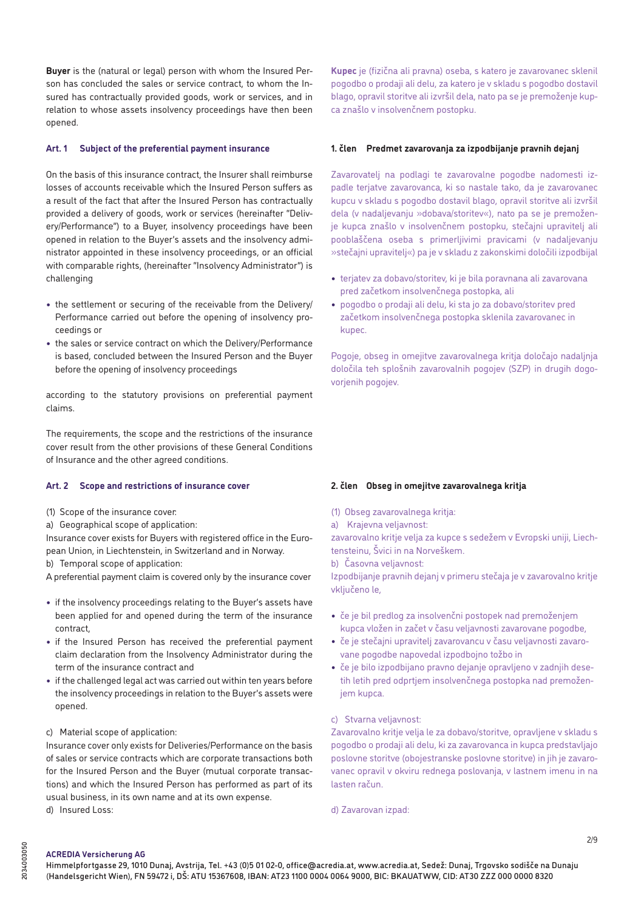**Buyer** is the (natural or legal) person with whom the Insured Person has concluded the sales or service contract, to whom the Insured has contractually provided goods, work or services, and in relation to whose assets insolvency proceedings have then been opened.

# **Art. 1 Subject of the preferential payment insurance**

On the basis of this insurance contract, the Insurer shall reimburse losses of accounts receivable which the Insured Person suffers as a result of the fact that after the Insured Person has contractually provided a delivery of goods, work or services (hereinafter "Delivery/Performance") to a Buyer, insolvency proceedings have been opened in relation to the Buyer's assets and the insolvency administrator appointed in these insolvency proceedings, or an official with comparable rights, (hereinafter "Insolvency Administrator") is challenging

- **•** the settlement or securing of the receivable from the Delivery/ Performance carried out before the opening of insolvency proceedings or
- **•** the sales or service contract on which the Delivery/Performance is based, concluded between the Insured Person and the Buyer before the opening of insolvency proceedings

according to the statutory provisions on preferential payment claims.

The requirements, the scope and the restrictions of the insurance cover result from the other provisions of these General Conditions of Insurance and the other agreed conditions.

#### **Art. 2 Scope and restrictions of insurance cover**

- (1) Scope of the insurance cover:
- a) Geographical scope of application:

Insurance cover exists for Buyers with registered office in the European Union, in Liechtenstein, in Switzerland and in Norway. b) Temporal scope of application:

A preferential payment claim is covered only by the insurance cover

- **•** if the insolvency proceedings relating to the Buyer's assets have been applied for and opened during the term of the insurance contract,
- **•** if the Insured Person has received the preferential payment claim declaration from the Insolvency Administrator during the term of the insurance contract and
- **•** if the challenged legal act was carried out within ten years before the insolvency proceedings in relation to the Buyer's assets were opened.

## c) Material scope of application:

Insurance cover only exists for Deliveries/Performance on the basis of sales or service contracts which are corporate transactions both for the Insured Person and the Buyer (mutual corporate transactions) and which the Insured Person has performed as part of its usual business, in its own name and at its own expense. d) Insured Loss:

**Kupec** je (fizična ali pravna) oseba, s katero je zavarovanec sklenil pogodbo o prodaji ali delu, za katero je v skladu s pogodbo dostavil blago, opravil storitve ali izvršil dela, nato pa se je premoženje kupca znašlo v insolvenčnem postopku.

## **1. člen Predmet zavarovanja za izpodbijanje pravnih dejanj**

Zavarovatelj na podlagi te zavarovalne pogodbe nadomesti izpadle terjatve zavarovanca, ki so nastale tako, da je zavarovanec kupcu v skladu s pogodbo dostavil blago, opravil storitve ali izvršil dela (v nadaljevanju »dobava/storitev«), nato pa se je premoženje kupca znašlo v insolvenčnem postopku, stečajni upravitelj ali pooblaščena oseba s primerljivimi pravicami (v nadaljevanju »stečajni upravitelj«) pa je v skladu z zakonskimi določili izpodbijal

- **•** terjatev za dobavo/storitev, ki je bila poravnana ali zavarovana pred začetkom insolvenčnega postopka, ali
- **•** pogodbo o prodaji ali delu, ki sta jo za dobavo/storitev pred začetkom insolvenčnega postopka sklenila zavarovanec in kupec.

Pogoje, obseg in omejitve zavarovalnega kritja določajo nadaljnja določila teh splošnih zavarovalnih pogojev (SZP) in drugih dogovorjenih pogojev.

## **2. člen Obseg in omejitve zavarovalnega kritja**

- (1) Obseg zavarovalnega kritja:
- a) Krajevna veljavnost:

zavarovalno kritje velja za kupce s sedežem v Evropski uniji, Liechtensteinu, Švici in na Norveškem.

b) Časovna veljavnost:

Izpodbijanje pravnih dejanj v primeru stečaja je v zavarovalno kritje vključeno le,

- **•** če je bil predlog za insolvenčni postopek nad premoženjem kupca vložen in začet v času veljavnosti zavarovane pogodbe,
- **•** če je stečajni upravitelj zavarovancu v času veljavnosti zavarovane pogodbe napovedal izpodbojno tožbo in
- **•** če je bilo izpodbijano pravno dejanje opravljeno v zadnjih desetih letih pred odprtjem insolvenčnega postopka nad premoženjem kupca.

## c) Stvarna veljavnost:

Zavarovalno kritje velja le za dobavo/storitve, opravljene v skladu s pogodbo o prodaji ali delu, ki za zavarovanca in kupca predstavljajo poslovne storitve (obojestranske poslovne storitve) in jih je zavarovanec opravil v okviru rednega poslovanja, v lastnem imenu in na lasten račun.

d) Zavarovan izpad: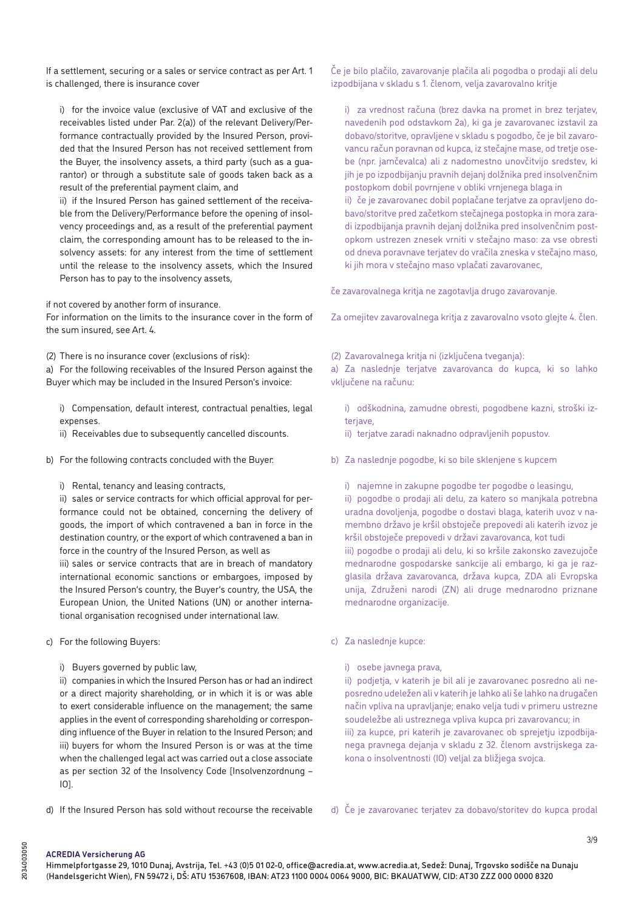If a settlement, securing or a sales or service contract as per Art. 1 is challenged, there is insurance cover

i) for the invoice value (exclusive of VAT and exclusive of the receivables listed under Par. 2(a)) of the relevant Delivery/Performance contractually provided by the Insured Person, provided that the Insured Person has not received settlement from the Buyer, the insolvency assets, a third party (such as a guarantor) or through a substitute sale of goods taken back as a result of the preferential payment claim, and

ii) if the Insured Person has gained settlement of the receivable from the Delivery/Performance before the opening of insolvency proceedings and, as a result of the preferential payment claim, the corresponding amount has to be released to the insolvency assets: for any interest from the time of settlement until the release to the insolvency assets, which the Insured Person has to pay to the insolvency assets,

if not covered by another form of insurance.

For information on the limits to the insurance cover in the form of the sum insured, see Art. 4.

(2) There is no insurance cover (exclusions of risk):

a) For the following receivables of the Insured Person against the Buyer which may be included in the Insured Person's invoice:

i) Compensation, default interest, contractual penalties, legal expenses.

ii) Receivables due to subsequently cancelled discounts.

- b) For the following contracts concluded with the Buyer:
	- i) Rental, tenancy and leasing contracts,

ii) sales or service contracts for which official approval for performance could not be obtained, concerning the delivery of goods, the import of which contravened a ban in force in the destination country, or the export of which contravened a ban in force in the country of the Insured Person, as well as iii) sales or service contracts that are in breach of mandatory international economic sanctions or embargoes, imposed by the Insured Person's country, the Buyer's country, the USA, the European Union, the United Nations (UN) or another international organisation recognised under international law.

- c) For the following Buyers:
	- i) Buyers governed by public law,

ii) companies in which the Insured Person has or had an indirect or a direct majority shareholding, or in which it is or was able to exert considerable influence on the management; the same applies in the event of corresponding shareholding or corresponding influence of the Buyer in relation to the Insured Person; and iii) buyers for whom the Insured Person is or was at the time when the challenged legal act was carried out a close associate as per section 32 of the Insolvency Code [Insolvenzordnung – IO].

Če je bilo plačilo, zavarovanje plačila ali pogodba o prodaji ali delu izpodbijana v skladu s 1. členom, velja zavarovalno kritje

i) za vrednost računa (brez davka na promet in brez terjatev, navedenih pod odstavkom 2a), ki ga je zavarovanec izstavil za dobavo/storitve, opravljene v skladu s pogodbo, če je bil zavarovancu račun poravnan od kupca, iz stečajne mase, od tretje osebe (npr. jamčevalca) ali z nadomestno unovčitvijo sredstev, ki jih je po izpodbijanju pravnih dejanj dolžnika pred insolvenčnim postopkom dobil povrnjene v obliki vrnjenega blaga in

ii) če je zavarovanec dobil poplačane terjatve za opravljeno dobavo/storitve pred začetkom stečajnega postopka in mora zaradi izpodbijanja pravnih dejanj dolžnika pred insolvenčnim postopkom ustrezen znesek vrniti v stečajno maso: za vse obresti od dneva poravnave terjatev do vračila zneska v stečajno maso, ki jih mora v stečajno maso vplačati zavarovanec,

če zavarovalnega kritja ne zagotavlja drugo zavarovanje.

Za omejitev zavarovalnega kritja z zavarovalno vsoto glejte 4. člen.

(2) Zavarovalnega kritja ni (izključena tveganja):

a) Za naslednje terjatve zavarovanca do kupca, ki so lahko vključene na računu:

i) odškodnina, zamudne obresti, pogodbene kazni, stroški izterjave,

ii) terjatve zaradi naknadno odpravljenih popustov.

b) Za naslednje pogodbe, ki so bile sklenjene s kupcem

i) najemne in zakupne pogodbe ter pogodbe o leasingu, ii) pogodbe o prodaji ali delu, za katero so manjkala potrebna uradna dovoljenja, pogodbe o dostavi blaga, katerih uvoz v namembno državo je kršil obstoječe prepovedi ali katerih izvoz je kršil obstoječe prepovedi v državi zavarovanca, kot tudi iii) pogodbe o prodaji ali delu, ki so kršile zakonsko zavezujoče mednarodne gospodarske sankcije ali embargo, ki ga je razglasila država zavarovanca, država kupca, ZDA ali Evropska unija, Združeni narodi (ZN) ali druge mednarodno priznane mednarodne organizacije.

- c) Za naslednje kupce:
	- i) osebe javnega prava,

ii) podjetja, v katerih je bil ali je zavarovanec posredno ali neposredno udeležen ali v katerih je lahko ali še lahko na drugačen način vpliva na upravljanje; enako velja tudi v primeru ustrezne soudeležbe ali ustreznega vpliva kupca pri zavarovancu; in iii) za kupce, pri katerih je zavarovanec ob sprejetju izpodbijanega pravnega dejanja v skladu z 32. členom avstrijskega zakona o insolventnosti (IO) veljal za bližjega svojca.

d) If the Insured Person has sold without recourse the receivable

d) Če je zavarovanec terjatev za dobavo/storitev do kupca prodal

**ACREDIA Versicherung AG**

Himmelpfortgasse 29, 1010 Dunaj, Avstrija, Tel. +43 (0)5 01 02-0, office@acredia.at, www.acredia.at, Sedež: Dunaj, Trgovsko sodišče na Dunaju (Handelsgericht Wien), FN 59472 i, DŠ: ATU 15367608, IBAN: AT23 1100 0004 0064 9000, BIC: BKAUATWW, CID: AT30 ZZZ 000 0000 8320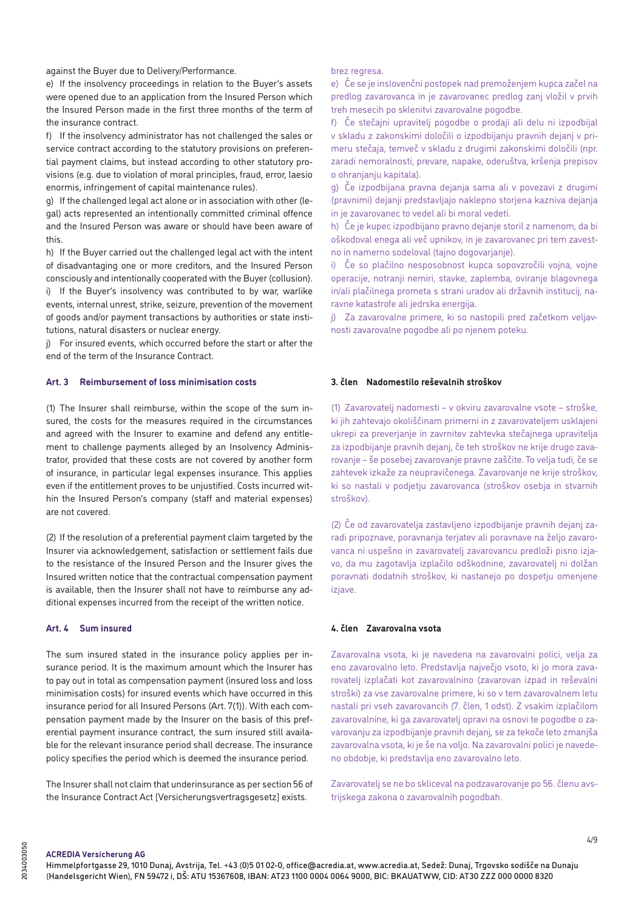against the Buyer due to Delivery/Performance.

e) If the insolvency proceedings in relation to the Buyer's assets were opened due to an application from the Insured Person which the Insured Person made in the first three months of the term of the insurance contract.

f) If the insolvency administrator has not challenged the sales or service contract according to the statutory provisions on preferential payment claims, but instead according to other statutory provisions (e.g. due to violation of moral principles, fraud, error, laesio enormis, infringement of capital maintenance rules).

g) If the challenged legal act alone or in association with other (legal) acts represented an intentionally committed criminal offence and the Insured Person was aware or should have been aware of this.

h) If the Buyer carried out the challenged legal act with the intent of disadvantaging one or more creditors, and the Insured Person consciously and intentionally cooperated with the Buyer (collusion). i) If the Buyer's insolvency was contributed to by war, warlike events, internal unrest, strike, seizure, prevention of the movement

of goods and/or payment transactions by authorities or state institutions, natural disasters or nuclear energy.

j) For insured events, which occurred before the start or after the end of the term of the Insurance Contract.

## **Art. 3 Reimbursement of loss minimisation costs**

(1) The Insurer shall reimburse, within the scope of the sum insured, the costs for the measures required in the circumstances and agreed with the Insurer to examine and defend any entitlement to challenge payments alleged by an Insolvency Administrator, provided that these costs are not covered by another form of insurance, in particular legal expenses insurance. This applies even if the entitlement proves to be unjustified. Costs incurred within the Insured Person's company (staff and material expenses) are not covered.

(2) If the resolution of a preferential payment claim targeted by the Insurer via acknowledgement, satisfaction or settlement fails due to the resistance of the Insured Person and the Insurer gives the Insured written notice that the contractual compensation payment is available, then the Insurer shall not have to reimburse any additional expenses incurred from the receipt of the written notice.

#### **Art. 4 Sum insured**

The sum insured stated in the insurance policy applies per insurance period. It is the maximum amount which the Insurer has to pay out in total as compensation payment (insured loss and loss minimisation costs) for insured events which have occurred in this insurance period for all Insured Persons (Art. 7(1)). With each compensation payment made by the Insurer on the basis of this preferential payment insurance contract, the sum insured still available for the relevant insurance period shall decrease. The insurance policy specifies the period which is deemed the insurance period.

The Insurer shall not claim that underinsurance as per section 56 of the Insurance Contract Act [Versicherungsvertragsgesetz] exists.

#### brez regresa.

e) Če se je inslovenčni postopek nad premoženjem kupca začel na predlog zavarovanca in je zavarovanec predlog zanj vložil v prvih treh mesecih po sklenitvi zavarovalne pogodbe.

f) Če stečajni upravitelj pogodbe o prodaji ali delu ni izpodbijal v skladu z zakonskimi določili o izpodbijanju pravnih dejanj v primeru stečaja, temveč v skladu z drugimi zakonskimi določili (npr. zaradi nemoralnosti, prevare, napake, oderuštva, kršenja prepisov o ohranjanju kapitala).

g) Če izpodbijana pravna dejanja sama ali v povezavi z drugimi (pravnimi) dejanji predstavljajo naklepno storjena kazniva dejanja in je zavarovanec to vedel ali bi moral vedeti.

h) Če je kupec izpodbijano pravno dejanje storil z namenom, da bi oškodoval enega ali več upnikov, in je zavarovanec pri tem zavestno in namerno sodeloval (tajno dogovarjanje).

i) Če so plačilno nesposobnost kupca sopovzročili vojna, vojne operacije, notranji nemiri, stavke, zaplemba, oviranje blagovnega in/ali plačilnega prometa s strani uradov ali državnih institucij, naravne katastrofe ali jedrska energija.

j) Za zavarovalne primere, ki so nastopili pred začetkom veljavnosti zavarovalne pogodbe ali po njenem poteku.

## **3. člen Nadomestilo reševalnih stroškov**

(1) Zavarovatelj nadomesti – v okviru zavarovalne vsote – stroške, ki jih zahtevajo okoliščinam primerni in z zavarovateljem usklajeni ukrepi za preverjanje in zavrnitev zahtevka stečajnega upravitelja za izpodbijanje pravnih dejanj, če teh stroškov ne krije drugo zavarovanje – še posebej zavarovanje pravne zaščite. To velja tudi, če se zahtevek izkaže za neupravičenega. Zavarovanje ne krije stroškov, ki so nastali v podjetju zavarovanca (stroškov osebja in stvarnih stroškov).

(2) Če od zavarovatelja zastavljeno izpodbijanje pravnih dejanj zaradi pripoznave, poravnanja terjatev ali poravnave na željo zavarovanca ni uspešno in zavarovatelj zavarovancu predloži pisno izjavo, da mu zagotavlja izplačilo odškodnine, zavarovatelj ni dolžan poravnati dodatnih stroškov, ki nastanejo po dospetju omenjene iziave.

## **4. člen Zavarovalna vsota**

Zavarovalna vsota, ki je navedena na zavarovalni polici, velja za eno zavarovalno leto. Predstavlja največjo vsoto, ki jo mora zavarovatelj izplačati kot zavarovalnino (zavarovan izpad in reševalni stroški) za vse zavarovalne primere, ki so v tem zavarovalnem letu nastali pri vseh zavarovancih (7. člen, 1 odst). Z vsakim izplačilom zavarovalnine, ki ga zavarovatelj opravi na osnovi te pogodbe o zavarovanju za izpodbijanje pravnih dejanj, se za tekoče leto zmanjša zavarovalna vsota, ki je še na voljo. Na zavarovalni polici je navedeno obdobje, ki predstavlja eno zavarovalno leto.

Zavarovatelj se ne bo skliceval na podzavarovanje po 56. členu avstrijskega zakona o zavarovalnih pogodbah.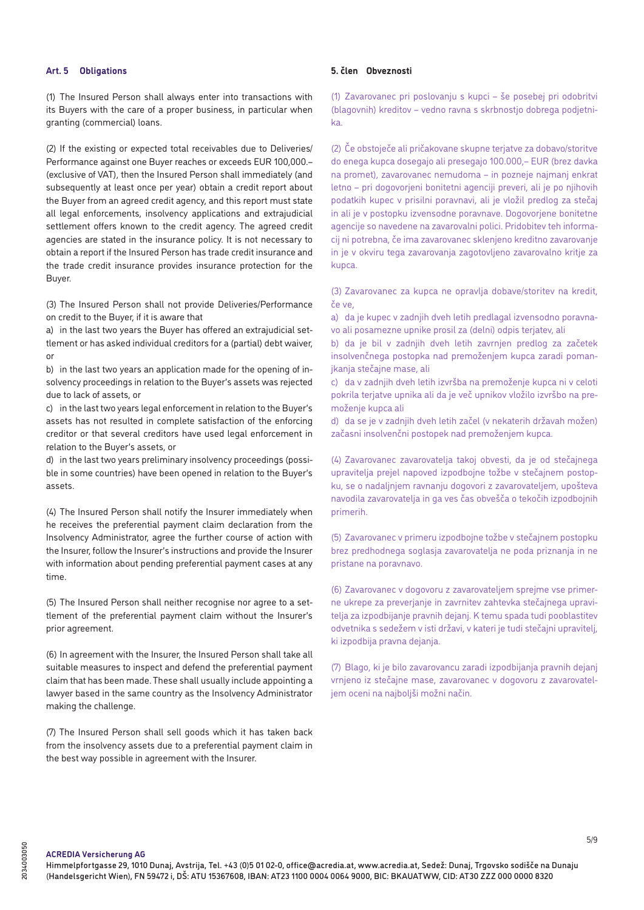### **Art. 5 Obligations**

(1) The Insured Person shall always enter into transactions with its Buyers with the care of a proper business, in particular when granting (commercial) loans.

(2) If the existing or expected total receivables due to Deliveries/ Performance against one Buyer reaches or exceeds EUR 100,000.– (exclusive of VAT), then the Insured Person shall immediately (and subsequently at least once per year) obtain a credit report about the Buyer from an agreed credit agency, and this report must state all legal enforcements, insolvency applications and extrajudicial settlement offers known to the credit agency. The agreed credit agencies are stated in the insurance policy. It is not necessary to obtain a report if the Insured Person has trade credit insurance and the trade credit insurance provides insurance protection for the Buyer.

(3) The Insured Person shall not provide Deliveries/Performance on credit to the Buyer, if it is aware that

a) in the last two years the Buyer has offered an extrajudicial settlement or has asked individual creditors for a (partial) debt waiver, or

b) in the last two years an application made for the opening of insolvency proceedings in relation to the Buyer's assets was rejected due to lack of assets, or

c) in the last two years legal enforcement in relation to the Buyer's assets has not resulted in complete satisfaction of the enforcing creditor or that several creditors have used legal enforcement in relation to the Buyer's assets, or

d) in the last two years preliminary insolvency proceedings (possible in some countries) have been opened in relation to the Buyer's assets.

(4) The Insured Person shall notify the Insurer immediately when he receives the preferential payment claim declaration from the Insolvency Administrator, agree the further course of action with the Insurer, follow the Insurer's instructions and provide the Insurer with information about pending preferential payment cases at any time.

(5) The Insured Person shall neither recognise nor agree to a settlement of the preferential payment claim without the Insurer's prior agreement.

(6) In agreement with the Insurer, the Insured Person shall take all suitable measures to inspect and defend the preferential payment claim that has been made. These shall usually include appointing a lawyer based in the same country as the Insolvency Administrator making the challenge.

(7) The Insured Person shall sell goods which it has taken back from the insolvency assets due to a preferential payment claim in the best way possible in agreement with the Insurer.

### **5. člen Obveznosti**

(1) Zavarovanec pri poslovanju s kupci – še posebej pri odobritvi (blagovnih) kreditov – vedno ravna s skrbnostjo dobrega podjetnika.

(2) Če obstoječe ali pričakovane skupne terjatve za dobavo/storitve do enega kupca dosegajo ali presegajo 100.000,– EUR (brez davka na promet), zavarovanec nemudoma – in pozneje najmanj enkrat letno – pri dogovorjeni bonitetni agenciji preveri, ali je po njihovih podatkih kupec v prisilni poravnavi, ali je vložil predlog za stečaj in ali je v postopku izvensodne poravnave. Dogovorjene bonitetne agencije so navedene na zavarovalni polici. Pridobitev teh informacij ni potrebna, če ima zavarovanec sklenjeno kreditno zavarovanje in je v okviru tega zavarovanja zagotovljeno zavarovalno kritje za kupca.

(3) Zavarovanec za kupca ne opravlja dobave/storitev na kredit, če ve,

a) da je kupec v zadnjih dveh letih predlagal izvensodno poravnavo ali posamezne upnike prosil za (delni) odpis terjatev, ali

b) da je bil v zadnjih dveh letih zavrnjen predlog za začetek insolvenčnega postopka nad premoženjem kupca zaradi pomanjkanja stečajne mase, ali

c) da v zadnjih dveh letih izvršba na premoženje kupca ni v celoti pokrila terjatve upnika ali da je več upnikov vložilo izvršbo na premoženje kupca ali

d) da se je v zadnjih dveh letih začel (v nekaterih državah možen) začasni insolvenčni postopek nad premoženjem kupca.

(4) Zavarovanec zavarovatelja takoj obvesti, da je od stečajnega upravitelja prejel napoved izpodbojne tožbe v stečajnem postopku, se o nadaljnjem ravnanju dogovori z zavarovateljem, upošteva navodila zavarovatelja in ga ves čas obvešča o tekočih izpodbojnih primerih.

(5) Zavarovanec v primeru izpodbojne tožbe v stečajnem postopku brez predhodnega soglasja zavarovatelja ne poda priznanja in ne pristane na poravnavo.

(6) Zavarovanec v dogovoru z zavarovateljem sprejme vse primerne ukrepe za preverjanje in zavrnitev zahtevka stečajnega upravitelja za izpodbijanje pravnih dejanj. K temu spada tudi pooblastitev odvetnika s sedežem v isti državi, v kateri je tudi stečajni upravitelj, ki izpodbija pravna dejanja.

(7) Blago, ki je bilo zavarovancu zaradi izpodbijanja pravnih dejanj vrnjeno iz stečajne mase, zavarovanec v dogovoru z zavarovateljem oceni na najboljši možni način.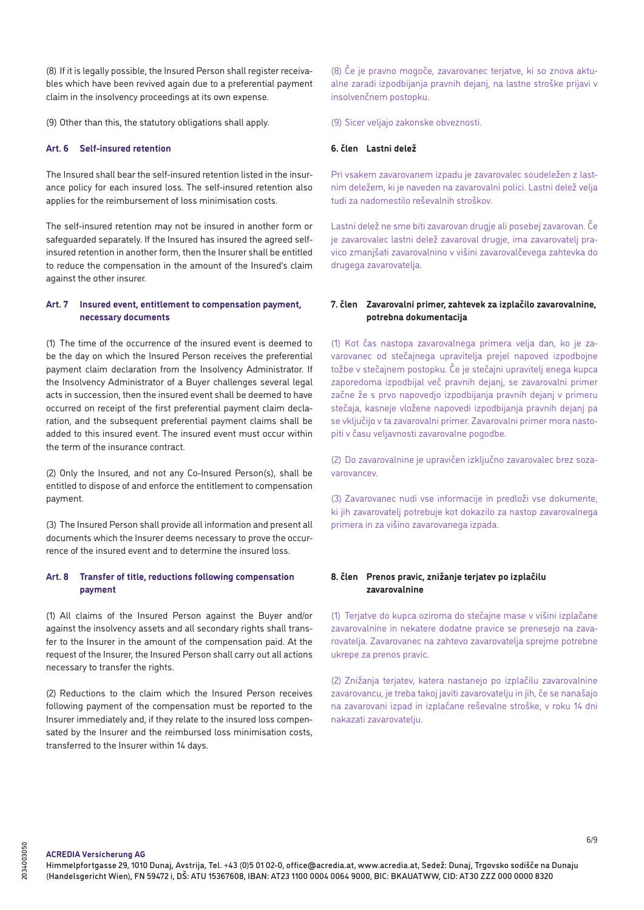(8) If it is legally possible, the Insured Person shall register receivables which have been revived again due to a preferential payment claim in the insolvency proceedings at its own expense.

(9) Other than this, the statutory obligations shall apply.

# **Art. 6 Self-insured retention**

The Insured shall bear the self-insured retention listed in the insurance policy for each insured loss. The self-insured retention also applies for the reimbursement of loss minimisation costs.

The self-insured retention may not be insured in another form or safeguarded separately. If the Insured has insured the agreed selfinsured retention in another form, then the Insurer shall be entitled to reduce the compensation in the amount of the Insured's claim against the other insurer.

## **Art. 7 Insured event, entitlement to compensation payment, necessary documents**

(1) The time of the occurrence of the insured event is deemed to be the day on which the Insured Person receives the preferential payment claim declaration from the Insolvency Administrator. If the Insolvency Administrator of a Buyer challenges several legal acts in succession, then the insured event shall be deemed to have occurred on receipt of the first preferential payment claim declaration, and the subsequent preferential payment claims shall be added to this insured event. The insured event must occur within the term of the insurance contract.

(2) Only the Insured, and not any Co-Insured Person(s), shall be entitled to dispose of and enforce the entitlement to compensation payment.

(3) The Insured Person shall provide all information and present all documents which the Insurer deems necessary to prove the occurrence of the insured event and to determine the insured loss.

# **Art. 8 Transfer of title, reductions following compensation payment**

(1) All claims of the Insured Person against the Buyer and/or against the insolvency assets and all secondary rights shall transfer to the Insurer in the amount of the compensation paid. At the request of the Insurer, the Insured Person shall carry out all actions necessary to transfer the rights.

(2) Reductions to the claim which the Insured Person receives following payment of the compensation must be reported to the Insurer immediately and, if they relate to the insured loss compensated by the Insurer and the reimbursed loss minimisation costs, transferred to the Insurer within 14 days.

(8) Če je pravno mogoče, zavarovanec terjatve, ki so znova aktualne zaradi izpodbijanja pravnih dejanj, na lastne stroške prijavi v insolvenčnem postopku.

(9) Sicer veljajo zakonske obveznosti.

# **6. člen Lastni delež**

Pri vsakem zavarovanem izpadu je zavarovalec soudeležen z lastnim deležem, ki je naveden na zavarovalni polici. Lastni delež velja tudi za nadomestilo reševalnih stroškov.

Lastni delež ne sme biti zavarovan drugje ali posebej zavarovan. Če je zavarovalec lastni delež zavaroval drugje, ima zavarovatelj pravico zmanjšati zavarovalnino v višini zavarovalčevega zahtevka do drugega zavarovatelja.

## **7. člen Zavarovalni primer, zahtevek za izplačilo zavarovalnine, potrebna dokumentacija**

(1) Kot čas nastopa zavarovalnega primera velja dan, ko je zavarovanec od stečajnega upravitelja prejel napoved izpodbojne tožbe v stečajnem postopku. Če je stečajni upravitelj enega kupca zaporedoma izpodbijal več pravnih dejanj, se zavarovalni primer začne že s prvo napovedjo izpodbijanja pravnih dejanj v primeru stečaja, kasneje vložene napovedi izpodbijanja pravnih dejanj pa se vključijo v ta zavarovalni primer. Zavarovalni primer mora nastopiti v času veljavnosti zavarovalne pogodbe.

(2) Do zavarovalnine je upravičen izključno zavarovalec brez sozavarovancev.

(3) Zavarovanec nudi vse informacije in predloži vse dokumente, ki jih zavarovatelj potrebuje kot dokazilo za nastop zavarovalnega primera in za višino zavarovanega izpada.

# **8. člen Prenos pravic, znižanje terjatev po izplačilu zavarovalnine**

(1) Terjatve do kupca oziroma do stečajne mase v višini izplačane zavarovalnine in nekatere dodatne pravice se prenesejo na zavarovatelja. Zavarovanec na zahtevo zavarovatelja sprejme potrebne ukrepe za prenos pravic.

(2) Znižanja terjatev, katera nastanejo po izplačilu zavarovalnine zavarovancu, je treba takoj javiti zavarovatelju in jih, če se nanašajo na zavarovani izpad in izplačane reševalne stroške, v roku 14 dni nakazati zavarovatelju.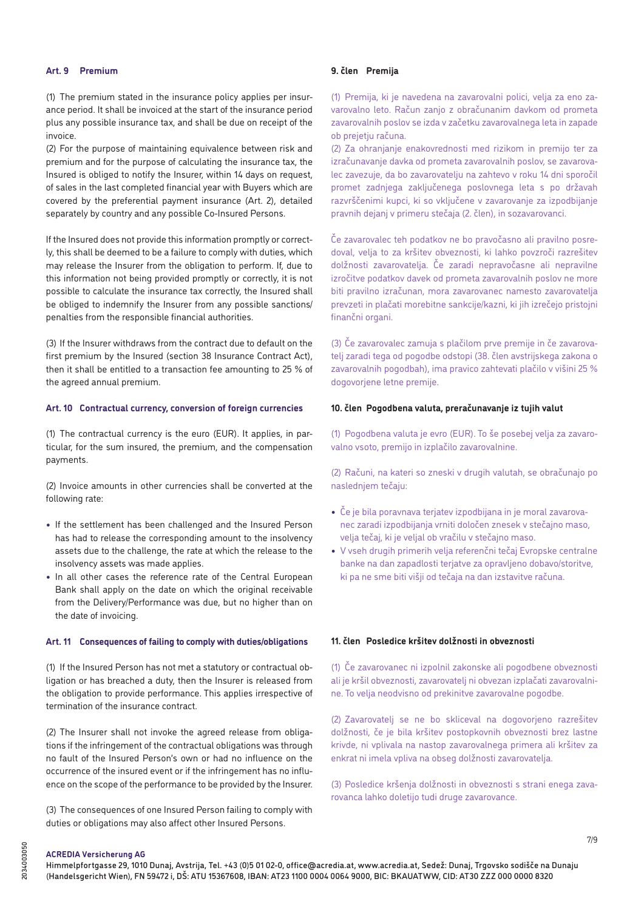## **Art. 9 Premium**

(1) The premium stated in the insurance policy applies per insurance period. It shall be invoiced at the start of the insurance period plus any possible insurance tax, and shall be due on receipt of the invoice.

(2) For the purpose of maintaining equivalence between risk and premium and for the purpose of calculating the insurance tax, the Insured is obliged to notify the Insurer, within 14 days on request, of sales in the last completed financial year with Buyers which are covered by the preferential payment insurance (Art. 2), detailed separately by country and any possible Co-Insured Persons.

If the Insured does not provide this information promptly or correctly, this shall be deemed to be a failure to comply with duties, which may release the Insurer from the obligation to perform. If, due to this information not being provided promptly or correctly, it is not possible to calculate the insurance tax correctly, the Insured shall be obliged to indemnify the Insurer from any possible sanctions/ penalties from the responsible financial authorities.

(3) If the Insurer withdraws from the contract due to default on the first premium by the Insured (section 38 Insurance Contract Act), then it shall be entitled to a transaction fee amounting to 25 % of the agreed annual premium.

## **Art. 10 Contractual currency, conversion of foreign currencies**

(1) The contractual currency is the euro (EUR). It applies, in particular, for the sum insured, the premium, and the compensation payments.

(2) Invoice amounts in other currencies shall be converted at the following rate:

- **•** If the settlement has been challenged and the Insured Person has had to release the corresponding amount to the insolvency assets due to the challenge, the rate at which the release to the insolvency assets was made applies.
- **•** In all other cases the reference rate of the Central European Bank shall apply on the date on which the original receivable from the Delivery/Performance was due, but no higher than on the date of invoicing.

#### **Art. 11 Consequences of failing to comply with duties/obligations**

(1) If the Insured Person has not met a statutory or contractual obligation or has breached a duty, then the Insurer is released from the obligation to provide performance. This applies irrespective of termination of the insurance contract.

(2) The Insurer shall not invoke the agreed release from obligations if the infringement of the contractual obligations was through no fault of the Insured Person's own or had no influence on the occurrence of the insured event or if the infringement has no influence on the scope of the performance to be provided by the Insurer.

(3) The consequences of one Insured Person failing to comply with duties or obligations may also affect other Insured Persons.

## **9. člen Premija**

(1) Premija, ki je navedena na zavarovalni polici, velja za eno zavarovalno leto. Račun zanjo z obračunanim davkom od prometa zavarovalnih poslov se izda v začetku zavarovalnega leta in zapade ob prejetju računa.

(2) Za ohranjanje enakovrednosti med rizikom in premijo ter za izračunavanje davka od prometa zavarovalnih poslov, se zavarovalec zavezuje, da bo zavarovatelju na zahtevo v roku 14 dni sporočil promet zadnjega zaključenega poslovnega leta s po državah razvrščenimi kupci, ki so vključene v zavarovanje za izpodbijanje pravnih dejanj v primeru stečaja (2. člen), in sozavarovanci.

Če zavarovalec teh podatkov ne bo pravočasno ali pravilno posredoval, velja to za kršitev obveznosti, ki lahko povzroči razrešitev dolžnosti zavarovatelja. Če zaradi nepravočasne ali nepravilne izročitve podatkov davek od prometa zavarovalnih poslov ne more biti pravilno izračunan, mora zavarovanec namesto zavarovatelja prevzeti in plačati morebitne sankcije/kazni, ki jih izrečejo pristojni finančni organi.

(3) Če zavarovalec zamuja s plačilom prve premije in če zavarovatelj zaradi tega od pogodbe odstopi (38. člen avstrijskega zakona o zavarovalnih pogodbah), ima pravico zahtevati plačilo v višini 25 % dogovorjene letne premije.

#### **10. člen Pogodbena valuta, preračunavanje iz tujih valut**

(1) Pogodbena valuta je evro (EUR). To še posebej velja za zavarovalno vsoto, premijo in izplačilo zavarovalnine.

(2) Računi, na kateri so zneski v drugih valutah, se obračunajo po naslednjem tečaju:

- **•** Če je bila poravnava terjatev izpodbijana in je moral zavarovanec zaradi izpodbijanja vrniti določen znesek v stečajno maso, velja tečaj, ki je veljal ob vračilu v stečajno maso.
- **•** V vseh drugih primerih velja referenčni tečaj Evropske centralne banke na dan zapadlosti terjatve za opravljeno dobavo/storitve, ki pa ne sme biti višji od tečaja na dan izstavitve računa.

## **11. člen Posledice kršitev dolžnosti in obveznosti**

(1) Če zavarovanec ni izpolnil zakonske ali pogodbene obveznosti ali je kršil obveznosti, zavarovatelj ni obvezan izplačati zavarovalnine. To velja neodvisno od prekinitve zavarovalne pogodbe.

(2) Zavarovatelj se ne bo skliceval na dogovorjeno razrešitev dolžnosti, če je bila kršitev postopkovnih obveznosti brez lastne krivde, ni vplivala na nastop zavarovalnega primera ali kršitev za enkrat ni imela vpliva na obseg dolžnosti zavarovatelja.

(3) Posledice kršenja dolžnosti in obveznosti s strani enega zavarovanca lahko doletijo tudi druge zavarovance.

# **ACREDIA Versicherung AG**

7/9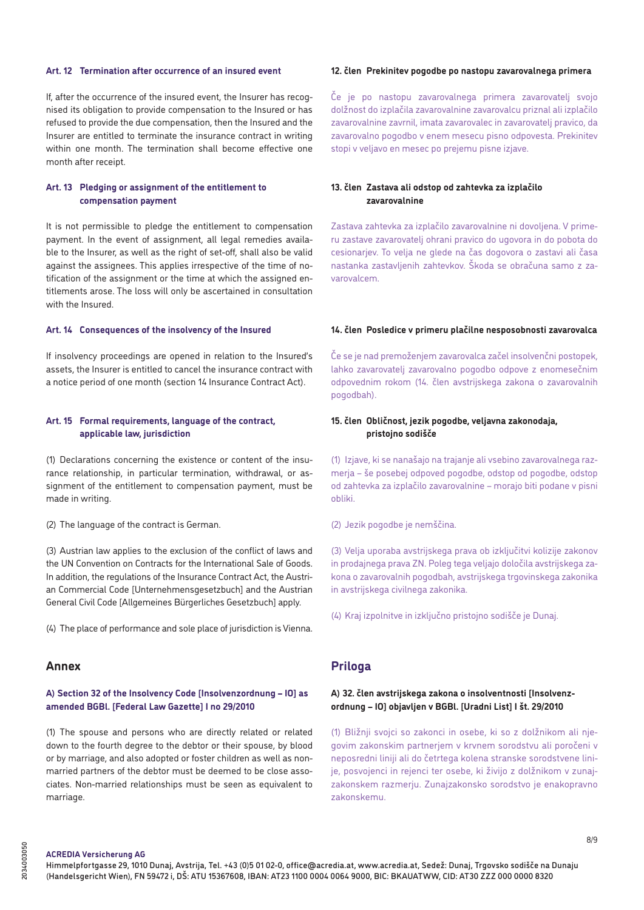## **Art. 12 Termination after occurrence of an insured event**

If, after the occurrence of the insured event, the Insurer has recognised its obligation to provide compensation to the Insured or has refused to provide the due compensation, then the Insured and the Insurer are entitled to terminate the insurance contract in writing within one month. The termination shall become effective one month after receipt.

## **Art. 13 Pledging or assignment of the entitlement to compensation payment**

It is not permissible to pledge the entitlement to compensation payment. In the event of assignment, all legal remedies available to the Insurer, as well as the right of set-off, shall also be valid against the assignees. This applies irrespective of the time of notification of the assignment or the time at which the assigned entitlements arose. The loss will only be ascertained in consultation with the Insured.

### **Art. 14 Consequences of the insolvency of the Insured**

If insolvency proceedings are opened in relation to the Insured's assets, the Insurer is entitled to cancel the insurance contract with a notice period of one month (section 14 Insurance Contract Act).

## **Art. 15 Formal requirements, language of the contract, applicable law, jurisdiction**

(1) Declarations concerning the existence or content of the insurance relationship, in particular termination, withdrawal, or assignment of the entitlement to compensation payment, must be made in writing.

(2) The language of the contract is German.

(3) Austrian law applies to the exclusion of the conflict of laws and the UN Convention on Contracts for the International Sale of Goods. In addition, the regulations of the Insurance Contract Act, the Austrian Commercial Code [Unternehmensgesetzbuch] and the Austrian General Civil Code [Allgemeines Bürgerliches Gesetzbuch] apply.

(4) The place of performance and sole place of jurisdiction is Vienna.

# **Annex**

# **A) Section 32 of the Insolvency Code [Insolvenzordnung – IO] as amended BGBl. [Federal Law Gazette] I no 29/2010**

(1) The spouse and persons who are directly related or related down to the fourth degree to the debtor or their spouse, by blood or by marriage, and also adopted or foster children as well as nonmarried partners of the debtor must be deemed to be close associates. Non-married relationships must be seen as equivalent to marriage.

## **12. člen Prekinitev pogodbe po nastopu zavarovalnega primera**

Če je po nastopu zavarovalnega primera zavarovatelj svojo dolžnost do izplačila zavarovalnine zavarovalcu priznal ali izplačilo zavarovalnine zavrnil, imata zavarovalec in zavarovatelj pravico, da zavarovalno pogodbo v enem mesecu pisno odpovesta. Prekinitev stopi v veljavo en mesec po prejemu pisne izjave.

## **13. člen Zastava ali odstop od zahtevka za izplačilo zavarovalnine**

Zastava zahtevka za izplačilo zavarovalnine ni dovoljena. V primeru zastave zavarovatelj ohrani pravico do ugovora in do pobota do cesionarjev. To velja ne glede na čas dogovora o zastavi ali časa nastanka zastavljenih zahtevkov. Škoda se obračuna samo z zavarovalcem.

## **14. člen Posledice v primeru plačilne nesposobnosti zavarovalca**

Če se je nad premoženjem zavarovalca začel insolvenčni postopek, lahko zavarovatelj zavarovalno pogodbo odpove z enomesečnim odpovednim rokom (14. člen avstrijskega zakona o zavarovalnih pogodbah).

## **15. člen Obličnost, jezik pogodbe, veljavna zakonodaja, pristojno sodišče**

(1) Izjave, ki se nanašajo na trajanje ali vsebino zavarovalnega razmerja – še posebej odpoved pogodbe, odstop od pogodbe, odstop od zahtevka za izplačilo zavarovalnine – morajo biti podane v pisni obliki.

(2) Jezik pogodbe je nemščina.

(3) Velja uporaba avstrijskega prava ob izključitvi kolizije zakonov in prodajnega prava ZN. Poleg tega veljajo določila avstrijskega zakona o zavarovalnih pogodbah, avstrijskega trgovinskega zakonika in avstrijskega civilnega zakonika.

(4) Kraj izpolnitve in izključno pristojno sodišče je Dunaj.

# **Priloga**

# **A) 32. člen avstrijskega zakona o insolventnosti [Insolvenzordnung – IO] objavljen v BGBl. [Uradni List] I št. 29/2010**

(1) Bližnji svojci so zakonci in osebe, ki so z dolžnikom ali njegovim zakonskim partnerjem v krvnem sorodstvu ali poročeni v neposredni liniji ali do četrtega kolena stranske sorodstvene linije, posvojenci in rejenci ter osebe, ki živijo z dolžnikom v zunajzakonskem razmerju. Zunajzakonsko sorodstvo je enakopravno zakonskemu.